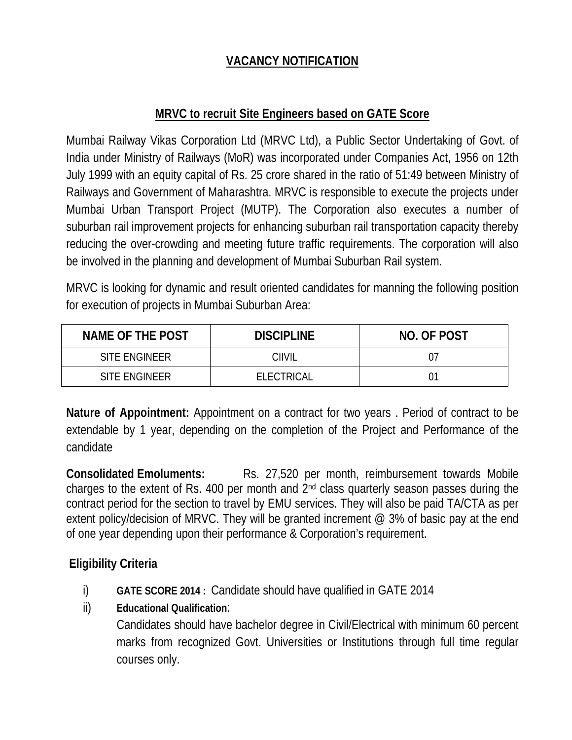## **VACANCY NOTIFICATION**

## **MRVC to recruit Site Engineers based on GATE Score**

Mumbai Railway Vikas Corporation Ltd (MRVC Ltd), a Public Sector Undertaking of Govt. of India under Ministry of Railways (MoR) was incorporated under Companies Act, 1956 on 12th July 1999 with an equity capital of Rs. 25 crore shared in the ratio of 51:49 between Ministry of Railways and Government of Maharashtra. MRVC is responsible to execute the projects under Mumbai Urban Transport Project (MUTP). The Corporation also executes a number of suburban rail improvement projects for enhancing suburban rail transportation capacity thereby reducing the over-crowding and meeting future traffic requirements. The corporation will also be involved in the planning and development of Mumbai Suburban Rail system.

MRVC is looking for dynamic and result oriented candidates for manning the following position for execution of projects in Mumbai Suburban Area:

| NAME OF THE POST | <b>DISCIPLINE</b> | NO. OF POST |
|------------------|-------------------|-------------|
| SITE ENGINEER    | CIIVIL            |             |
| SITE ENGINEER    | ELECTRICAL        |             |

**Nature of Appointment:** Appointment on a contract for two years . Period of contract to be extendable by 1 year, depending on the completion of the Project and Performance of the candidate

**Consolidated Emoluments:** Rs. 27,520 per month, reimbursement towards Mobile charges to the extent of Rs. 400 per month and 2nd class quarterly season passes during the contract period for the section to travel by EMU services. They will also be paid TA/CTA as per extent policy/decision of MRVC. They will be granted increment  $\omega$  3% of basic pay at the end of one year depending upon their performance & Corporation's requirement.

# **Eligibility Criteria**

- i) **GATE SCORE 2014 :** Candidate should have qualified in GATE 2014
- ii) **Educational Qualification**:

Candidates should have bachelor degree in Civil/Electrical with minimum 60 percent marks from recognized Govt. Universities or Institutions through full time regular courses only.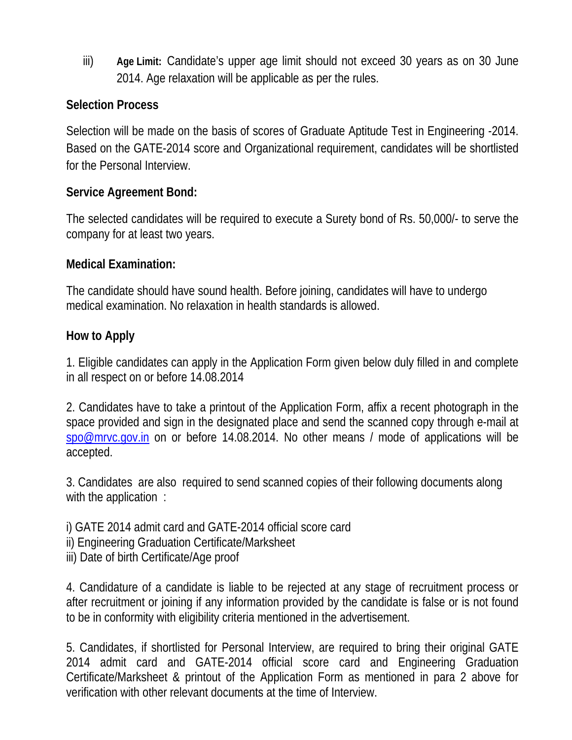iii) **Age Limit:** Candidate's upper age limit should not exceed 30 years as on 30 June 2014. Age relaxation will be applicable as per the rules.

## **Selection Process**

Selection will be made on the basis of scores of Graduate Aptitude Test in Engineering -2014. Based on the GATE-2014 score and Organizational requirement, candidates will be shortlisted for the Personal Interview.

## **Service Agreement Bond:**

The selected candidates will be required to execute a Surety bond of Rs. 50,000/- to serve the company for at least two years.

## **Medical Examination:**

The candidate should have sound health. Before joining, candidates will have to undergo medical examination. No relaxation in health standards is allowed.

## **How to Apply**

1. Eligible candidates can apply in the Application Form given below duly filled in and complete in all respect on or before 14.08.2014

2. Candidates have to take a printout of the Application Form, affix a recent photograph in the space provided and sign in the designated place and send the scanned copy through e-mail at spo@mrvc.gov.in on or before 14.08.2014. No other means / mode of applications will be accepted.

3. Candidates are also required to send scanned copies of their following documents along with the application :

i) GATE 2014 admit card and GATE-2014 official score card ii) Engineering Graduation Certificate/Marksheet iii) Date of birth Certificate/Age proof

4. Candidature of a candidate is liable to be rejected at any stage of recruitment process or after recruitment or joining if any information provided by the candidate is false or is not found to be in conformity with eligibility criteria mentioned in the advertisement.

5. Candidates, if shortlisted for Personal Interview, are required to bring their original GATE 2014 admit card and GATE-2014 official score card and Engineering Graduation Certificate/Marksheet & printout of the Application Form as mentioned in para 2 above for verification with other relevant documents at the time of Interview.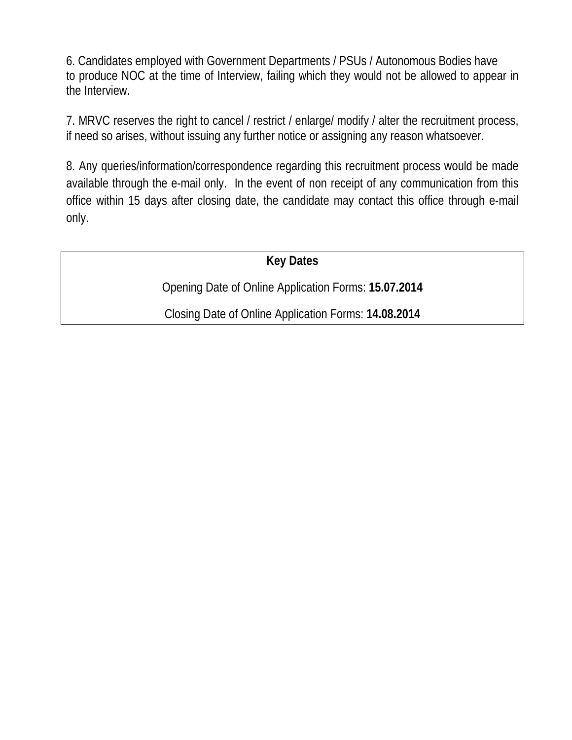6. Candidates employed with Government Departments / PSUs / Autonomous Bodies have to produce NOC at the time of Interview, failing which they would not be allowed to appear in the Interview.

7. MRVC reserves the right to cancel / restrict / enlarge/ modify / alter the recruitment process, if need so arises, without issuing any further notice or assigning any reason whatsoever.

8. Any queries/information/correspondence regarding this recruitment process would be made available through the e-mail only. In the event of non receipt of any communication from this office within 15 days after closing date, the candidate may contact this office through e-mail only.

**Key Dates** 

Opening Date of Online Application Forms: **15.07.2014** 

Closing Date of Online Application Forms: **14.08.2014**